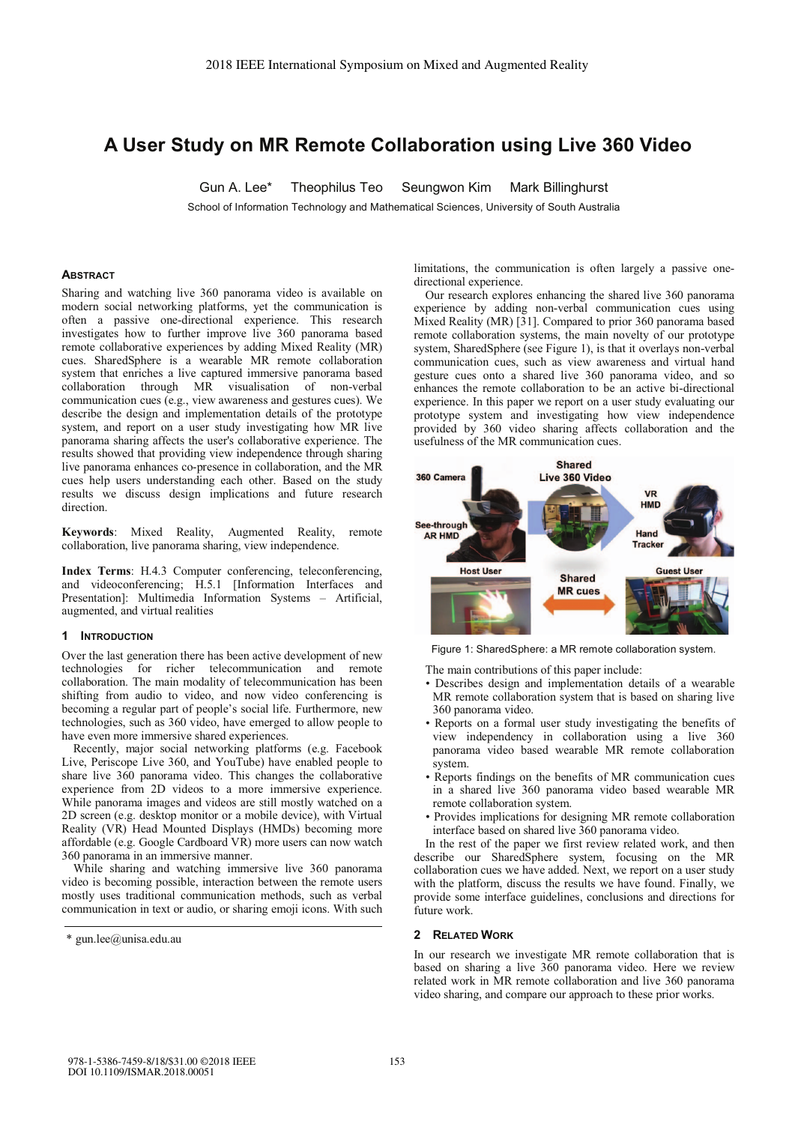# A User Study on MR Remote Collaboration using Live 360 Video

Gun A. Lee\* Theophilus Teo Seungwon Kim Mark Billinghurst School of Information Technology and Mathematical Sciences, University of South Australia

# **ABSTRACT**

Sharing and watching live 360 panorama video is available on modern social networking platforms, yet the communication is often a passive one-directional experience. This research investigates how to further improve live 360 panorama based remote collaborative experiences by adding Mixed Reality (MR) cues. SharedSphere is a wearable MR remote collaboration system that enriches a live captured immersive panorama based collaboration through MR visualisation of non-verbal communication cues (e.g., view awareness and gestures cues). We describe the design and implementation details of the prototype system, and report on a user study investigating how MR live panorama sharing affects the user's collaborative experience. The results showed that providing view independence through sharing live panorama enhances co-presence in collaboration, and the MR cues help users understanding each other. Based on the study results we discuss design implications and future research direction.

**Keywords**: Mixed Reality, Augmented Reality, remote collaboration, live panorama sharing, view independence.

**Index Terms**: H.4.3 Computer conferencing, teleconferencing, and videoconferencing; H.5.1 [Information Interfaces and Presentation]: Multimedia Information Systems – Artificial, augmented, and virtual realities

### **1** INTRODUCTION

Over the last generation there has been active development of new technologies for richer telecommunication and remote collaboration. The main modality of telecommunication has been shifting from audio to video, and now video conferencing is becoming a regular part of people's social life. Furthermore, new technologies, such as 360 video, have emerged to allow people to have even more immersive shared experiences.

Recently, major social networking platforms (e.g. Facebook Live, Periscope Live 360, and YouTube) have enabled people to share live 360 panorama video. This changes the collaborative experience from 2D videos to a more immersive experience. While panorama images and videos are still mostly watched on a 2D screen (e.g. desktop monitor or a mobile device), with Virtual Reality (VR) Head Mounted Displays (HMDs) becoming more affordable (e.g. Google Cardboard VR) more users can now watch 360 panorama in an immersive manner.

While sharing and watching immersive live 360 panorama video is becoming possible, interaction between the remote users mostly uses traditional communication methods, such as verbal communication in text or audio, or sharing emoji icons. With such limitations, the communication is often largely a passive onedirectional experience.

Our research explores enhancing the shared live 360 panorama experience by adding non-verbal communication cues using Mixed Reality (MR) [31]. Compared to prior 360 panorama based remote collaboration systems, the main novelty of our prototype system, SharedSphere (see Figure 1), is that it overlays non-verbal communication cues, such as view awareness and virtual hand gesture cues onto a shared live 360 panorama video, and so enhances the remote collaboration to be an active bi-directional experience. In this paper we report on a user study evaluating our prototype system and investigating how view independence provided by 360 video sharing affects collaboration and the usefulness of the MR communication cues.



Figure 1: SharedSphere: a MR remote collaboration system.

The main contributions of this paper include:

- Describes design and implementation details of a wearable MR remote collaboration system that is based on sharing live 360 panorama video.
- Reports on a formal user study investigating the benefits of view independency in collaboration using a live 360 panorama video based wearable MR remote collaboration system.
- Reports findings on the benefits of MR communication cues in a shared live 360 panorama video based wearable MR remote collaboration system.
- Provides implications for designing MR remote collaboration interface based on shared live 360 panorama video.

In the rest of the paper we first review related work, and then describe our SharedSphere system, focusing on the MR collaboration cues we have added. Next, we report on a user study with the platform, discuss the results we have found. Finally, we provide some interface guidelines, conclusions and directions for future work.

# **2 RELATED WORK**

In our research we investigate MR remote collaboration that is based on sharing a live 360 panorama video. Here we review related work in MR remote collaboration and live 360 panorama video sharing, and compare our approach to these prior works.

gun.lee@unisa.edu.au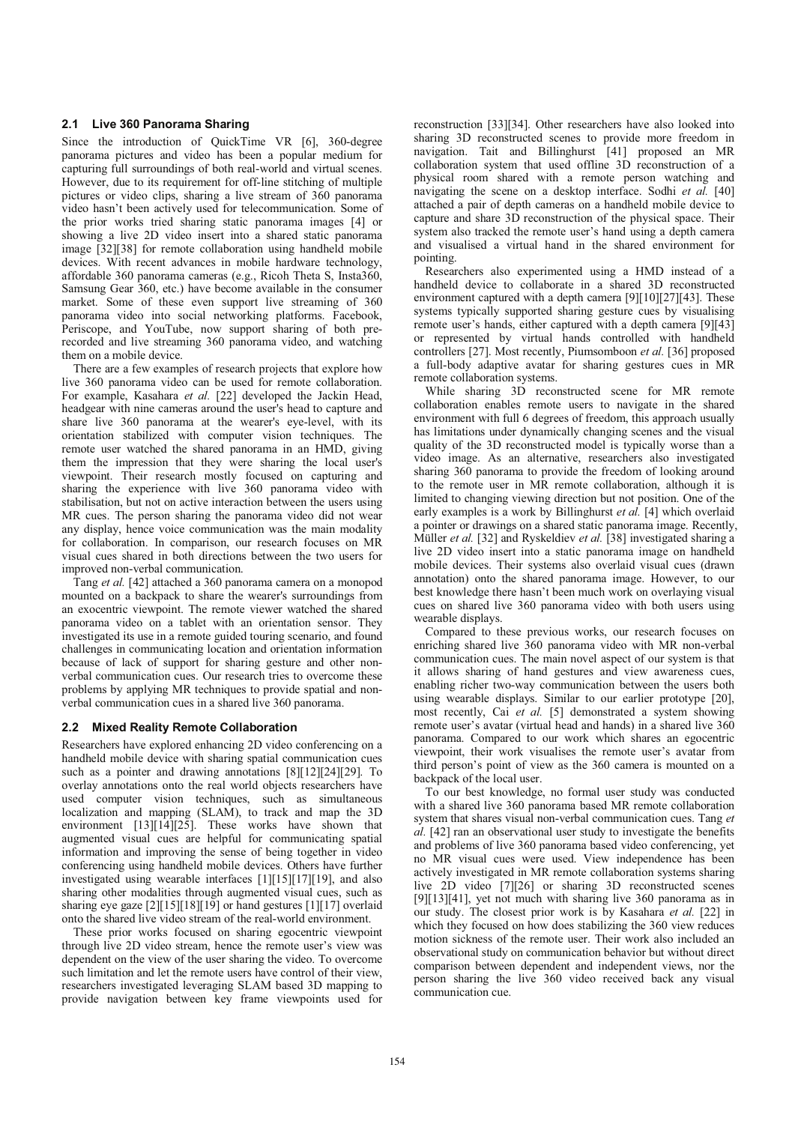# 2.1 Live 360 Panorama Sharing

Since the introduction of QuickTime VR [6], 360-degree panorama pictures and video has been a popular medium for capturing full surroundings of both real-world and virtual scenes. However, due to its requirement for off-line stitching of multiple pictures or video clips, sharing a live stream of 360 panorama video hasn't been actively used for telecommunication. Some of the prior works tried sharing static panorama images [4] or showing a live 2D video insert into a shared static panorama image [32][38] for remote collaboration using handheld mobile devices. With recent advances in mobile hardware technology, affordable 360 panorama cameras (e.g., Ricoh Theta S, Insta360, Samsung Gear 360, etc.) have become available in the consumer market. Some of these even support live streaming of 360 panorama video into social networking platforms. Facebook, Periscope, and YouTube, now support sharing of both prerecorded and live streaming 360 panorama video, and watching them on a mobile device.

There are a few examples of research projects that explore how live 360 panorama video can be used for remote collaboration. For example, Kasahara *et al.* [22] developed the Jackin Head, headgear with nine cameras around the user's head to capture and share live 360 panorama at the wearer's eye-level, with its orientation stabilized with computer vision techniques. The remote user watched the shared panorama in an HMD, giving them the impression that they were sharing the local user's viewpoint. Their research mostly focused on capturing and sharing the experience with live 360 panorama video with stabilisation, but not on active interaction between the users using MR cues. The person sharing the panorama video did not wear any display, hence voice communication was the main modality for collaboration. In comparison, our research focuses on MR visual cues shared in both directions between the two users for improved non-verbal communication.

Tang *et al.* [42] attached a 360 panorama camera on a monopod mounted on a backpack to share the wearer's surroundings from an exocentric viewpoint. The remote viewer watched the shared panorama video on a tablet with an orientation sensor. They investigated its use in a remote guided touring scenario, and found challenges in communicating location and orientation information because of lack of support for sharing gesture and other nonverbal communication cues. Our research tries to overcome these problems by applying MR techniques to provide spatial and nonverbal communication cues in a shared live 360 panorama.

### 2.2 Mixed Reality Remote Collaboration

Researchers have explored enhancing 2D video conferencing on a handheld mobile device with sharing spatial communication cues such as a pointer and drawing annotations [8][12][24][29]. To overlay annotations onto the real world objects researchers have used computer vision techniques, such as simultaneous localization and mapping (SLAM), to track and map the 3D environment  $[13][14][25]$ . These works have shown that augmented visual cues are helpful for communicating spatial information and improving the sense of being together in video conferencing using handheld mobile devices. Others have further investigated using wearable interfaces [1][15][17][19], and also sharing other modalities through augmented visual cues, such as sharing eye gaze [2][15][18][19] or hand gestures [1][17] overlaid onto the shared live video stream of the real-world environment.

These prior works focused on sharing egocentric viewpoint through live 2D video stream, hence the remote user's view was dependent on the view of the user sharing the video. To overcome such limitation and let the remote users have control of their view, researchers investigated leveraging SLAM based 3D mapping to provide navigation between key frame viewpoints used for

reconstruction [33][34]. Other researchers have also looked into sharing 3D reconstructed scenes to provide more freedom in navigation. Tait and Billinghurst [41] proposed an MR collaboration system that used offline 3D reconstruction of a physical room shared with a remote person watching and navigating the scene on a desktop interface. Sodhi *et al.* [40] attached a pair of depth cameras on a handheld mobile device to capture and share 3D reconstruction of the physical space. Their system also tracked the remote user's hand using a depth camera and visualised a virtual hand in the shared environment for pointing.

Researchers also experimented using a HMD instead of a handheld device to collaborate in a shared 3D reconstructed environment captured with a depth camera [9][10][27][43]. These systems typically supported sharing gesture cues by visualising remote user's hands, either captured with a depth camera [9][43] or represented by virtual hands controlled with handheld controllers [27]. Most recently, Piumsomboon *et al.* [36] proposed a full-body adaptive avatar for sharing gestures cues in MR remote collaboration systems.

While sharing 3D reconstructed scene for MR remote collaboration enables remote users to navigate in the shared environment with full 6 degrees of freedom, this approach usually has limitations under dynamically changing scenes and the visual quality of the 3D reconstructed model is typically worse than a video image. As an alternative, researchers also investigated sharing 360 panorama to provide the freedom of looking around to the remote user in MR remote collaboration, although it is limited to changing viewing direction but not position. One of the early examples is a work by Billinghurst *et al.* [4] which overlaid a pointer or drawings on a shared static panorama image. Recently, Müller *et al.* [32] and Ryskeldiev *et al.* [38] investigated sharing a live 2D video insert into a static panorama image on handheld mobile devices. Their systems also overlaid visual cues (drawn annotation) onto the shared panorama image. However, to our best knowledge there hasn't been much work on overlaying visual cues on shared live 360 panorama video with both users using wearable displays.

Compared to these previous works, our research focuses on enriching shared live 360 panorama video with MR non-verbal communication cues. The main novel aspect of our system is that it allows sharing of hand gestures and view awareness cues, enabling richer two-way communication between the users both using wearable displays. Similar to our earlier prototype [20], most recently, Cai *et al.* [5] demonstrated a system showing remote user's avatar (virtual head and hands) in a shared live 360 panorama. Compared to our work which shares an egocentric viewpoint, their work visualises the remote user's avatar from third person's point of view as the 360 camera is mounted on a backpack of the local user.

To our best knowledge, no formal user study was conducted with a shared live 360 panorama based MR remote collaboration system that shares visual non-verbal communication cues. Tang *et al.* [42] ran an observational user study to investigate the benefits and problems of live 360 panorama based video conferencing, yet no MR visual cues were used. View independence has been actively investigated in MR remote collaboration systems sharing live 2D video [7][26] or sharing 3D reconstructed scenes [9][13][41], yet not much with sharing live 360 panorama as in our study. The closest prior work is by Kasahara *et al.* [22] in which they focused on how does stabilizing the 360 view reduces motion sickness of the remote user. Their work also included an observational study on communication behavior but without direct comparison between dependent and independent views, nor the person sharing the live 360 video received back any visual communication cue.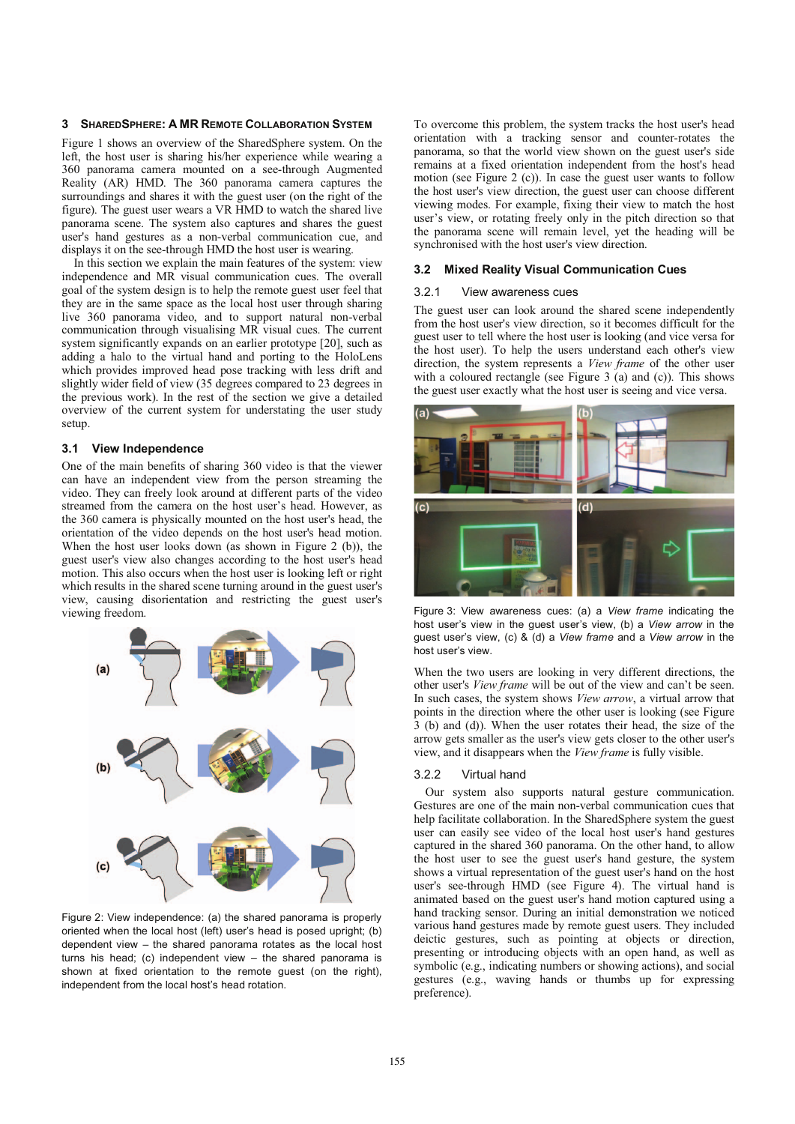### **3 SHAREDSPHERE: A MR REMOTE COLLABORATION SYSTEM**

Figure 1 shows an overview of the SharedSphere system. On the left, the host user is sharing his/her experience while wearing a 360 panorama camera mounted on a see-through Augmented Reality (AR) HMD. The 360 panorama camera captures the surroundings and shares it with the guest user (on the right of the figure). The guest user wears a VR HMD to watch the shared live panorama scene. The system also captures and shares the guest user's hand gestures as a non-verbal communication cue, and displays it on the see-through HMD the host user is wearing.

 In this section we explain the main features of the system: view independence and MR visual communication cues. The overall goal of the system design is to help the remote guest user feel that they are in the same space as the local host user through sharing live 360 panorama video, and to support natural non-verbal communication through visualising MR visual cues. The current system significantly expands on an earlier prototype [20], such as adding a halo to the virtual hand and porting to the HoloLens which provides improved head pose tracking with less drift and slightly wider field of view (35 degrees compared to 23 degrees in the previous work). In the rest of the section we give a detailed overview of the current system for understating the user study setup.

### **3.1 View Independence**

One of the main benefits of sharing 360 video is that the viewer can have an independent view from the person streaming the video. They can freely look around at different parts of the video streamed from the camera on the host user's head. However, as the 360 camera is physically mounted on the host user's head, the orientation of the video depends on the host user's head motion. When the host user looks down (as shown in Figure 2 (b)), the guest user's view also changes according to the host user's head motion. This also occurs when the host user is looking left or right which results in the shared scene turning around in the guest user's view, causing disorientation and restricting the guest user's viewing freedom.



Figure 2: View independence: (a) the shared panorama is properly oriented when the local host (left) user's head is posed upright; (b) dependent view  $-$  the shared panorama rotates as the local host  $turns$  his head; (c) independent view  $-$  the shared panorama is shown at fixed orientation to the remote guest (on the right), independent from the local host's head rotation.

To overcome this problem, the system tracks the host user's head orientation with a tracking sensor and counter-rotates the panorama, so that the world view shown on the guest user's side remains at a fixed orientation independent from the host's head motion (see Figure 2 (c)). In case the guest user wants to follow the host user's view direction, the guest user can choose different viewing modes. For example, fixing their view to match the host user's view, or rotating freely only in the pitch direction so that the panorama scene will remain level, yet the heading will be synchronised with the host user's view direction.

# 3.2 Mixed Reality Visual Communication Cues

#### $3.2.1$ View awareness cues

The guest user can look around the shared scene independently from the host user's view direction, so it becomes difficult for the guest user to tell where the host user is looking (and vice versa for the host user). To help the users understand each other's view direction, the system represents a *View frame* of the other user with a coloured rectangle (see Figure 3 (a) and (c)). This shows the guest user exactly what the host user is seeing and vice versa.



Figure 3: View awareness cues: (a) a View frame indicating the host user's view in the guest user's view, (b) a View arrow in the guest user's view, (c) & (d) a View frame and a View arrow in the host user's view.

When the two users are looking in very different directions, the other user's *View frame* will be out of the view and can't be seen. In such cases, the system shows *View arrow*, a virtual arrow that points in the direction where the other user is looking (see Figure 3 (b) and (d)). When the user rotates their head, the size of the arrow gets smaller as the user's view gets closer to the other user's view, and it disappears when the *View frame* is fully visible.

#### 322 Virtual hand

Our system also supports natural gesture communication. Gestures are one of the main non-verbal communication cues that help facilitate collaboration. In the SharedSphere system the guest user can easily see video of the local host user's hand gestures captured in the shared 360 panorama. On the other hand, to allow the host user to see the guest user's hand gesture, the system shows a virtual representation of the guest user's hand on the host user's see-through HMD (see Figure 4). The virtual hand is animated based on the guest user's hand motion captured using a hand tracking sensor. During an initial demonstration we noticed various hand gestures made by remote guest users. They included deictic gestures, such as pointing at objects or direction, presenting or introducing objects with an open hand, as well as symbolic (e.g., indicating numbers or showing actions), and social gestures (e.g., waving hands or thumbs up for expressing preference).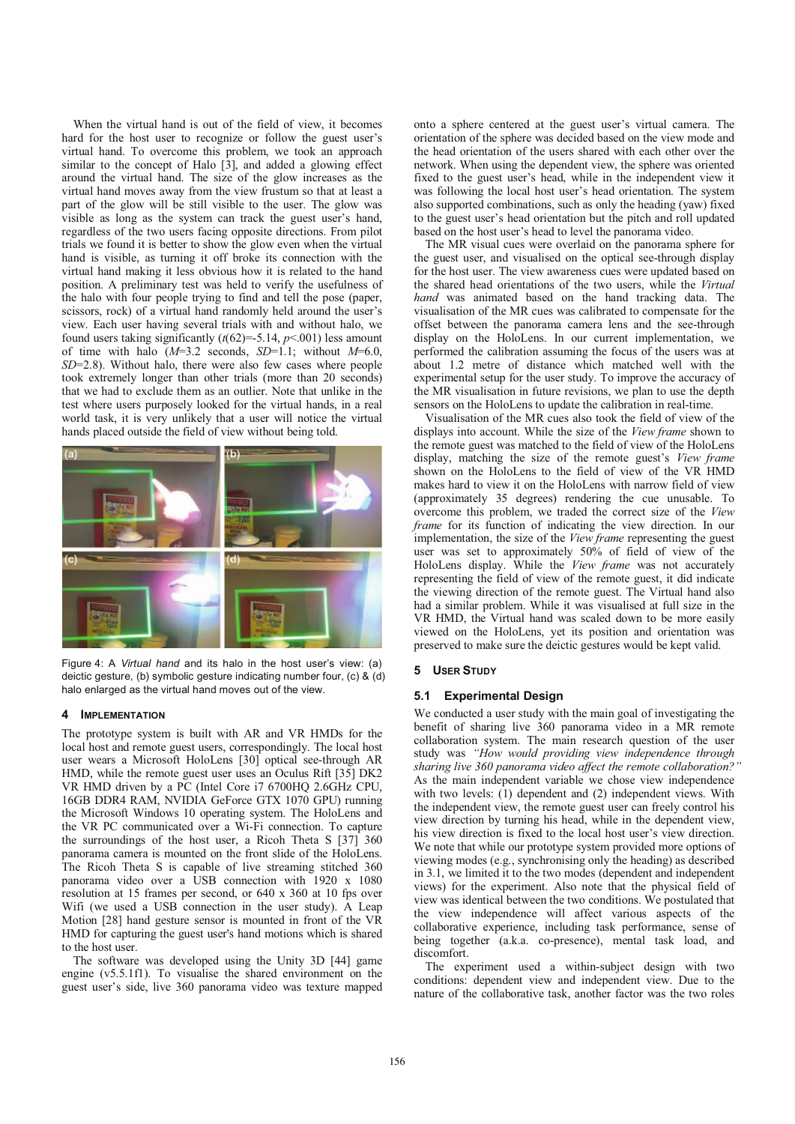When the virtual hand is out of the field of view, it becomes hard for the host user to recognize or follow the guest user's virtual hand. To overcome this problem, we took an approach similar to the concept of Halo [3], and added a glowing effect around the virtual hand. The size of the glow increases as the virtual hand moves away from the view frustum so that at least a part of the glow will be still visible to the user. The glow was visible as long as the system can track the guest user's hand, regardless of the two users facing opposite directions. From pilot trials we found it is better to show the glow even when the virtual hand is visible, as turning it off broke its connection with the virtual hand making it less obvious how it is related to the hand position. A preliminary test was held to verify the usefulness of the halo with four people trying to find and tell the pose (paper, scissors, rock) of a virtual hand randomly held around the user's view. Each user having several trials with and without halo, we found users taking significantly (*t*(62)=-5.14, *p*<.001) less amount of time with halo (*M*=3.2 seconds, *SD*=1.1; without *M*=6.0, *SD*=2.8). Without halo, there were also few cases where people took extremely longer than other trials (more than 20 seconds) that we had to exclude them as an outlier. Note that unlike in the test where users purposely looked for the virtual hands, in a real world task, it is very unlikely that a user will notice the virtual hands placed outside the field of view without being told.



Figure 4: A Virtual hand and its halo in the host user's view: (a) deictic gesture, (b) symbolic gesture indicating number four, (c) & (d) halo enlarged as the virtual hand moves out of the view.

# **4 IMPLEMENTATION**

The prototype system is built with AR and VR HMDs for the local host and remote guest users, correspondingly. The local host user wears a Microsoft HoloLens [30] optical see-through AR HMD, while the remote guest user uses an Oculus Rift [35] DK2 VR HMD driven by a PC (Intel Core i7 6700HQ 2.6GHz CPU, 16GB DDR4 RAM, NVIDIA GeForce GTX 1070 GPU) running the Microsoft Windows 10 operating system. The HoloLens and the VR PC communicated over a Wi-Fi connection. To capture the surroundings of the host user, a Ricoh Theta S [37] 360 panorama camera is mounted on the front slide of the HoloLens. The Ricoh Theta S is capable of live streaming stitched 360 panorama video over a USB connection with 1920 x 1080 resolution at 15 frames per second, or 640 x 360 at 10 fps over Wifi (we used a USB connection in the user study). A Leap Motion [28] hand gesture sensor is mounted in front of the VR HMD for capturing the guest user's hand motions which is shared to the host user.

The software was developed using the Unity 3D [44] game engine (v5.5.1f1). To visualise the shared environment on the guest user's side, live 360 panorama video was texture mapped onto a sphere centered at the guest user's virtual camera. The orientation of the sphere was decided based on the view mode and the head orientation of the users shared with each other over the network. When using the dependent view, the sphere was oriented fixed to the guest user's head, while in the independent view it was following the local host user's head orientation. The system also supported combinations, such as only the heading (yaw) fixed to the guest user's head orientation but the pitch and roll updated based on the host user's head to level the panorama video.

The MR visual cues were overlaid on the panorama sphere for the guest user, and visualised on the optical see-through display for the host user. The view awareness cues were updated based on the shared head orientations of the two users, while the *Virtual hand* was animated based on the hand tracking data. The visualisation of the MR cues was calibrated to compensate for the offset between the panorama camera lens and the see-through display on the HoloLens. In our current implementation, we performed the calibration assuming the focus of the users was at about 1.2 metre of distance which matched well with the experimental setup for the user study. To improve the accuracy of the MR visualisation in future revisions, we plan to use the depth sensors on the HoloLens to update the calibration in real-time.

Visualisation of the MR cues also took the field of view of the displays into account. While the size of the *View frame* shown to the remote guest was matched to the field of view of the HoloLens display, matching the size of the remote guest's *View frame* shown on the HoloLens to the field of view of the VR HMD makes hard to view it on the HoloLens with narrow field of view (approximately 35 degrees) rendering the cue unusable. To overcome this problem, we traded the correct size of the *View frame* for its function of indicating the view direction. In our implementation, the size of the *View frame* representing the guest user was set to approximately 50% of field of view of the HoloLens display. While the *View frame* was not accurately representing the field of view of the remote guest, it did indicate the viewing direction of the remote guest. The Virtual hand also had a similar problem. While it was visualised at full size in the VR HMD, the Virtual hand was scaled down to be more easily viewed on the HoloLens, yet its position and orientation was preserved to make sure the deictic gestures would be kept valid.

### 5 USER STUDY

### **5.1 Experimental Design**

We conducted a user study with the main goal of investigating the benefit of sharing live 360 panorama video in a MR remote collaboration system. The main research question of the user study was *"How would providing view independence through sharing live 360 panorama video affect the remote collaboration?"* As the main independent variable we chose view independence with two levels: (1) dependent and (2) independent views. With the independent view, the remote guest user can freely control his view direction by turning his head, while in the dependent view, his view direction is fixed to the local host user's view direction. We note that while our prototype system provided more options of viewing modes (e.g., synchronising only the heading) as described in 3.1, we limited it to the two modes (dependent and independent views) for the experiment. Also note that the physical field of view was identical between the two conditions. We postulated that the view independence will affect various aspects of the collaborative experience, including task performance, sense of being together (a.k.a. co-presence), mental task load, and discomfort.

The experiment used a within-subject design with two conditions: dependent view and independent view. Due to the nature of the collaborative task, another factor was the two roles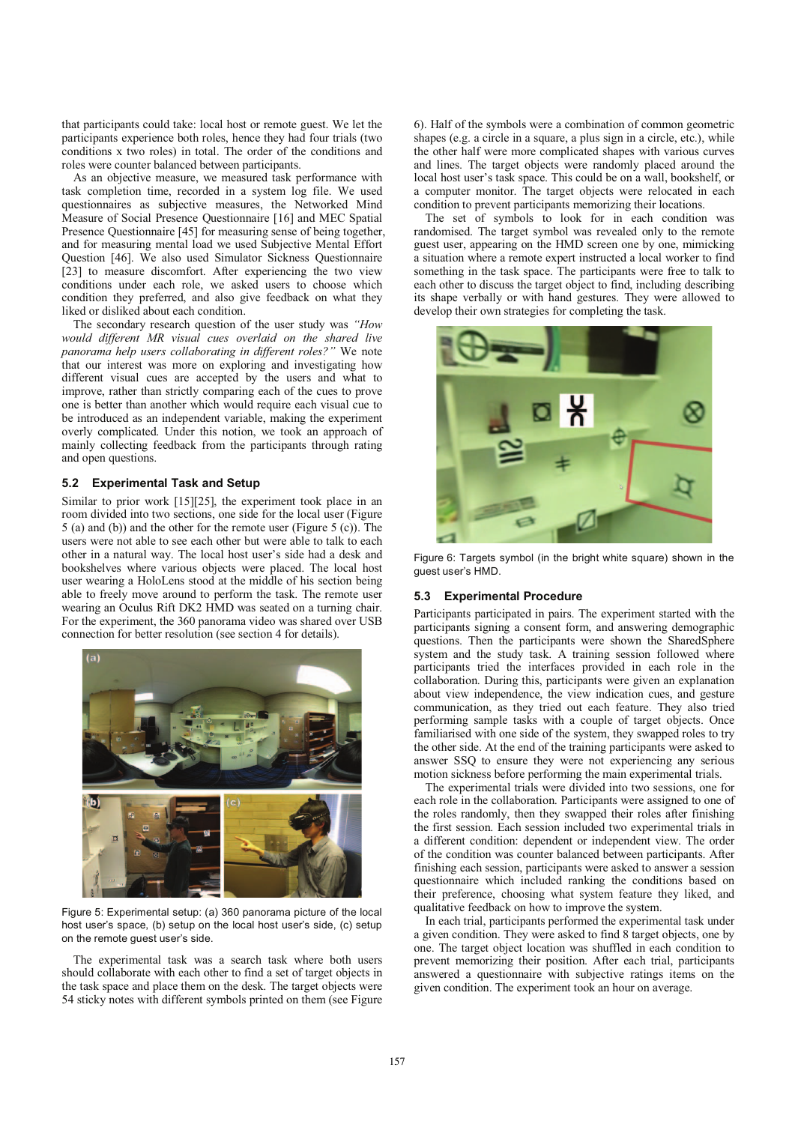that participants could take: local host or remote guest. We let the participants experience both roles, hence they had four trials (two conditions x two roles) in total. The order of the conditions and roles were counter balanced between participants.

As an objective measure, we measured task performance with task completion time, recorded in a system log file. We used questionnaires as subjective measures, the Networked Mind Measure of Social Presence Questionnaire [16] and MEC Spatial Presence Questionnaire [45] for measuring sense of being together, and for measuring mental load we used Subjective Mental Effort Question [46]. We also used Simulator Sickness Questionnaire [23] to measure discomfort. After experiencing the two view conditions under each role, we asked users to choose which condition they preferred, and also give feedback on what they liked or disliked about each condition.

The secondary research question of the user study was *"How would different MR visual cues overlaid on the shared live panorama help users collaborating in different roles?"* We note that our interest was more on exploring and investigating how different visual cues are accepted by the users and what to improve, rather than strictly comparing each of the cues to prove one is better than another which would require each visual cue to be introduced as an independent variable, making the experiment overly complicated. Under this notion, we took an approach of mainly collecting feedback from the participants through rating and open questions.

# **5.2 Experimental Task and Setup**

Similar to prior work [15][25], the experiment took place in an room divided into two sections, one side for the local user (Figure 5 (a) and (b)) and the other for the remote user (Figure 5 (c)). The users were not able to see each other but were able to talk to each other in a natural way. The local host user's side had a desk and bookshelves where various objects were placed. The local host user wearing a HoloLens stood at the middle of his section being able to freely move around to perform the task. The remote user wearing an Oculus Rift DK2 HMD was seated on a turning chair. For the experiment, the 360 panorama video was shared over USB connection for better resolution (see section 4 for details).



Figure 5: Experimental setup: (a) 360 panorama picture of the local host user's space, (b) setup on the local host user's side, (c) setup on the remote guest user's side.

The experimental task was a search task where both users should collaborate with each other to find a set of target objects in the task space and place them on the desk. The target objects were 54 sticky notes with different symbols printed on them (see Figure 6). Half of the symbols were a combination of common geometric shapes (e.g. a circle in a square, a plus sign in a circle, etc.), while the other half were more complicated shapes with various curves and lines. The target objects were randomly placed around the local host user's task space. This could be on a wall, bookshelf, or a computer monitor. The target objects were relocated in each condition to prevent participants memorizing their locations.

The set of symbols to look for in each condition was randomised. The target symbol was revealed only to the remote guest user, appearing on the HMD screen one by one, mimicking a situation where a remote expert instructed a local worker to find something in the task space. The participants were free to talk to each other to discuss the target object to find, including describing its shape verbally or with hand gestures. They were allowed to develop their own strategies for completing the task.



Figure 6: Targets symbol (in the bright white square) shown in the guest user's HMD.

### **5.3 Experimental Procedure**

Participants participated in pairs. The experiment started with the participants signing a consent form, and answering demographic questions. Then the participants were shown the SharedSphere system and the study task. A training session followed where participants tried the interfaces provided in each role in the collaboration. During this, participants were given an explanation about view independence, the view indication cues, and gesture communication, as they tried out each feature. They also tried performing sample tasks with a couple of target objects. Once familiarised with one side of the system, they swapped roles to try the other side. At the end of the training participants were asked to answer SSQ to ensure they were not experiencing any serious motion sickness before performing the main experimental trials.

The experimental trials were divided into two sessions, one for each role in the collaboration. Participants were assigned to one of the roles randomly, then they swapped their roles after finishing the first session. Each session included two experimental trials in a different condition: dependent or independent view. The order of the condition was counter balanced between participants. After finishing each session, participants were asked to answer a session questionnaire which included ranking the conditions based on their preference, choosing what system feature they liked, and qualitative feedback on how to improve the system.

In each trial, participants performed the experimental task under a given condition. They were asked to find 8 target objects, one by one. The target object location was shuffled in each condition to prevent memorizing their position. After each trial, participants answered a questionnaire with subjective ratings items on the given condition. The experiment took an hour on average.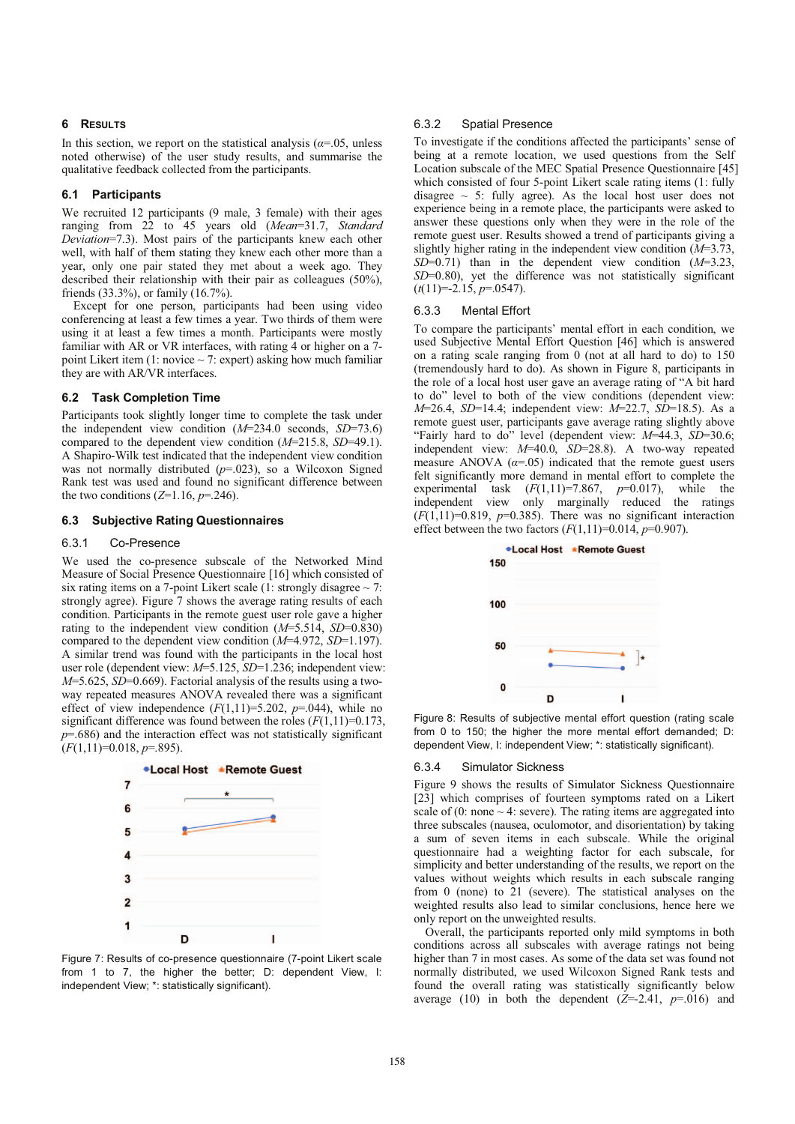### **6** RESULTS

In this section, we report on the statistical analysis ( $\alpha$ =.05, unless noted otherwise) of the user study results, and summarise the qualitative feedback collected from the participants.

### 6.1 **Participants**

We recruited 12 participants (9 male, 3 female) with their ages ranging from 22 to 45 years old (*Mean*=31.7, *Standard Deviation*=7.3). Most pairs of the participants knew each other well, with half of them stating they knew each other more than a year, only one pair stated they met about a week ago. They described their relationship with their pair as colleagues (50%), friends (33.3%), or family (16.7%).

Except for one person, participants had been using video conferencing at least a few times a year. Two thirds of them were using it at least a few times a month. Participants were mostly familiar with AR or VR interfaces, with rating  $\frac{1}{4}$  or higher on a 7point Likert item (1: novice  $\sim$  7: expert) asking how much familiar they are with AR/VR interfaces.

### **6.2 Task Completion Time**

Participants took slightly longer time to complete the task under the independent view condition (*M*=234.0 seconds, *SD*=73.6) compared to the dependent view condition (*M*=215.8, *SD*=49.1). A Shapiro-Wilk test indicated that the independent view condition was not normally distributed (*p*=.023), so a Wilcoxon Signed Rank test was used and found no significant difference between the two conditions  $(Z=1.16, p=.246)$ .

# 6.3 Subiective Rating Questionnaires

#### 6.3.1 Co-Presence

We used the co-presence subscale of the Networked Mind Measure of Social Presence Questionnaire [16] which consisted of six rating items on a 7-point Likert scale (1: strongly disagree  $\sim$  7: strongly agree). Figure 7 shows the average rating results of each condition. Participants in the remote guest user role gave a higher rating to the independent view condition (*M*=5.514, *SD*=0.830) compared to the dependent view condition (*M*=4.972, *SD*=1.197). A similar trend was found with the participants in the local host user role (dependent view: *M*=5.125, *SD*=1.236; independent view:  $M=5.625$ ,  $SD=0.669$ ). Factorial analysis of the results using a twoway repeated measures ANOVA revealed there was a significant effect of view independence  $(F(1,11)=5.202, p=.044)$ , while no significant difference was found between the roles  $(F(1,11)=0.173)$ ,  $p=0.686$ ) and the interaction effect was not statistically significant (*F*(1,11)=0.018, *p*=.895).



Figure 7: Results of co-presence questionnaire (7-point Likert scale from 1 to 7, the higher the better; D: dependent View, I: independent View; \*: statistically significant).

#### 632 Spatial Presence

To investigate if the conditions affected the participants' sense of being at a remote location, we used questions from the Self Location subscale of the MEC Spatial Presence Questionnaire [45] which consisted of four 5-point Likert scale rating items (1: fully disagree  $\sim$  5: fully agree). As the local host user does not experience being in a remote place, the participants were asked to answer these questions only when they were in the role of the remote guest user. Results showed a trend of participants giving a slightly higher rating in the independent view condition (*M*=3.73, *SD*=0.71) than in the dependent view condition (*M*=3.23, *SD*=0.80), yet the difference was not statistically significant  $(t(11)=2.15, p=.0547)$ .

#### 6.3.3 Mental Effort

To compare the participants' mental effort in each condition, we used Subjective Mental Effort Question [46] which is answered on a rating scale ranging from 0 (not at all hard to do) to 150 (tremendously hard to do). As shown in Figure 8, participants in the role of a local host user gave an average rating of "A bit hard to do" level to both of the view conditions (dependent view: *M*=26.4, *SD*=14.4; independent view: *M*=22.7, *SD*=18.5). As a remote guest user, participants gave average rating slightly above "Fairly hard to do" level (dependent view: *M*=44.3, *SD*=30.6; independent view: *M*=40.0, *SD*=28.8). A two-way repeated measure ANOVA  $(a=0.05)$  indicated that the remote guest users felt significantly more demand in mental effort to complete the experimental task  $(F(1,11)=7.867, p=0.017)$ , while the independent view only marginally reduced the ratings  $(F(1,11)=0.819, p=0.385)$ . There was no significant interaction effect between the two factors  $(F(1,11)=0.014, p=0.907)$ .



Figure 8: Results of subjective mental effort question (rating scale from 0 to 150; the higher the more mental effort demanded; D: dependent View, I: independent View; \*: statistically significant).

#### 6.3.4 Simulator Sickness

Figure 9 shows the results of Simulator Sickness Questionnaire [23] which comprises of fourteen symptoms rated on a Likert scale of (0: none  $\sim$  4: severe). The rating items are aggregated into three subscales (nausea, oculomotor, and disorientation) by taking a sum of seven items in each subscale. While the original questionnaire had a weighting factor for each subscale, for simplicity and better understanding of the results, we report on the values without weights which results in each subscale ranging from 0 (none) to 21 (severe). The statistical analyses on the weighted results also lead to similar conclusions, hence here we only report on the unweighted results.

Overall, the participants reported only mild symptoms in both conditions across all subscales with average ratings not being higher than 7 in most cases. As some of the data set was found not normally distributed, we used Wilcoxon Signed Rank tests and found the overall rating was statistically significantly below average (10) in both the dependent  $(Z=2.41, p=0.016)$  and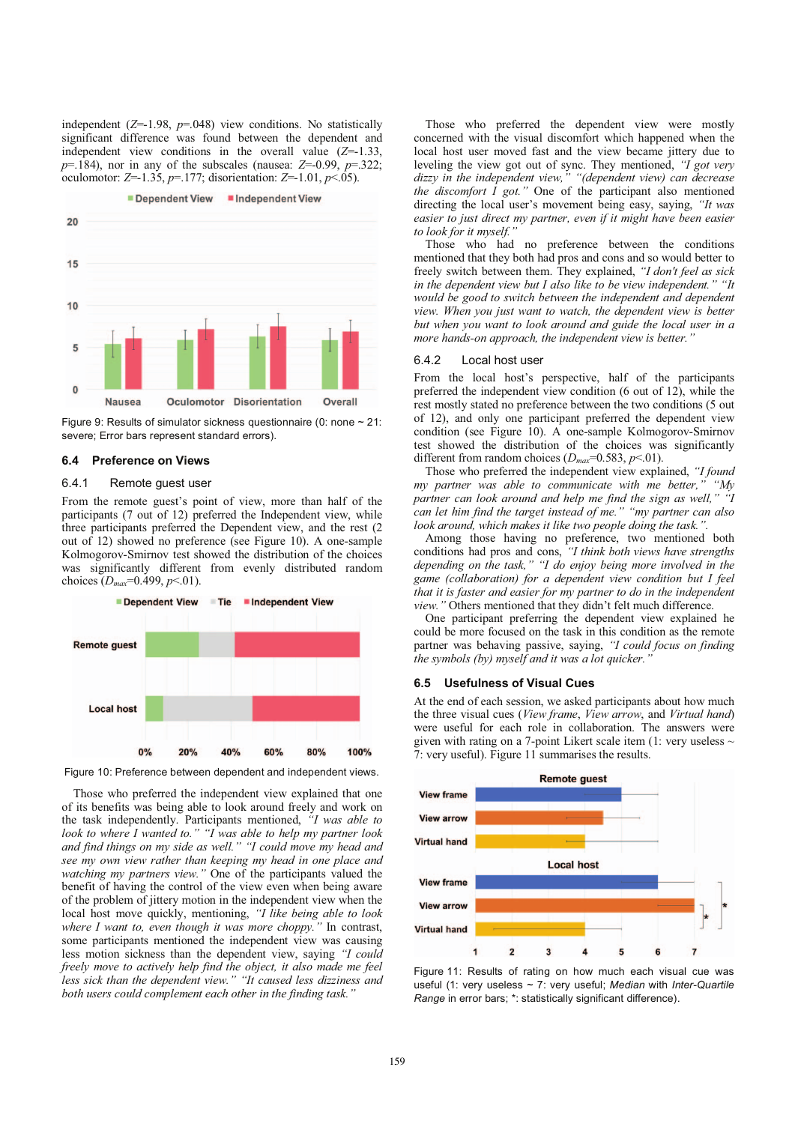independent  $(Z=1.98, p=.048)$  view conditions. No statistically significant difference was found between the dependent and independent view conditions in the overall value (*Z*=-1.33, *p*=.184), nor in any of the subscales (nausea: *Z*=-0.99, *p*=.322; oculomotor: *Z*=-1.35, *p*=.177; disorientation: *Z*=-1.01, *p*<.05).



Figure 9: Results of simulator sickness questionnaire (0: none  $\sim$  21: severe: Error bars represent standard errors).

### **6.4 Preference on Views**

#### 6.4.1 Remote quest user

From the remote guest's point of view, more than half of the participants (7 out of 12) preferred the Independent view, while three participants preferred the Dependent view, and the rest (2 out of 12) showed no preference (see Figure 10). A one-sample Kolmogorov-Smirnov test showed the distribution of the choices was significantly different from evenly distributed random choices (*Dmax*=0.499, *p*<.01).



Figure 10: Preference between dependent and independent views.

Those who preferred the independent view explained that one of its benefits was being able to look around freely and work on the task independently. Participants mentioned, *"I was able to look to where I wanted to." "I was able to help my partner look and find things on my side as well." "I could move my head and see my own view rather than keeping my head in one place and watching my partners view."* One of the participants valued the benefit of having the control of the view even when being aware of the problem of jittery motion in the independent view when the local host move quickly, mentioning, *"I like being able to look where I want to, even though it was more choppy."* In contrast, some participants mentioned the independent view was causing less motion sickness than the dependent view, saying *"I could freely move to actively help find the object, it also made me feel less sick than the dependent view." "It caused less dizziness and both users could complement each other in the finding task."*

Those who preferred the dependent view were mostly concerned with the visual discomfort which happened when the local host user moved fast and the view became jittery due to leveling the view got out of sync. They mentioned, *"I got very dizzy in the independent view," "(dependent view) can decrease the discomfort I got."* One of the participant also mentioned directing the local user's movement being easy, saying, *"It was easier to just direct my partner, even if it might have been easier to look for it myself."* 

Those who had no preference between the conditions mentioned that they both had pros and cons and so would better to freely switch between them. They explained, *"I don't feel as sick in the dependent view but I also like to be view independent." "It would be good to switch between the independent and dependent view. When you just want to watch, the dependent view is better but when you want to look around and guide the local user in a more hands-on approach, the independent view is better.* 

#### 6.4.2 Local host user

From the local host's perspective, half of the participants preferred the independent view condition (6 out of 12), while the rest mostly stated no preference between the two conditions (5 out of 12), and only one participant preferred the dependent view condition (see Figure 10). A one-sample Kolmogorov-Smirnov test showed the distribution of the choices was significantly different from random choices (*Dmax*=0.583, *p*<.01).

Those who preferred the independent view explained, *"I found my partner was able to communicate with me better," "My partner can look around and help me find the sign as well," "I can let him find the target instead of me." "my partner can also look around, which makes it like two people doing the task.".*

Among those having no preference, two mentioned both conditions had pros and cons, *"I think both views have strengths depending on the task," "I do enjoy being more involved in the game (collaboration) for a dependent view condition but I feel that it is faster and easier for my partner to do in the independent view."* Others mentioned that they didn't felt much difference.

One participant preferring the dependent view explained he could be more focused on the task in this condition as the remote partner was behaving passive, saying, *"I could focus on finding the symbols (by) myself and it was a lot quicker.* 

# 6.5 Usefulness of Visual Cues

At the end of each session, we asked participants about how much the three visual cues (*View frame*, *View arrow*, and *Virtual hand*) were useful for each role in collaboration. The answers were given with rating on a 7-point Likert scale item (1: very useless  $\sim$ 7: very useful). Figure 11 summarises the results.



Figure 11: Results of rating on how much each visual cue was useful  $(1:$  verv useless  $\sim$  7: verv useful: *Median* with *Inter-Quartile* Range in error bars; \*: statistically significant difference).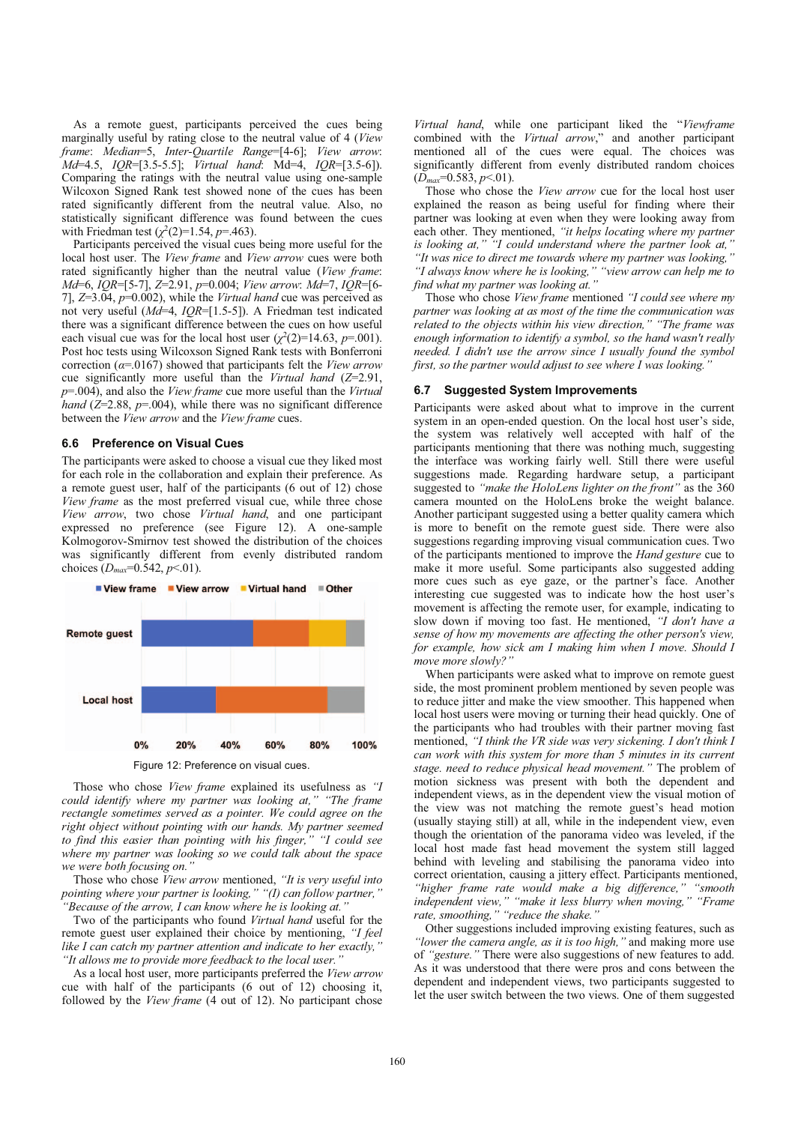As a remote guest, participants perceived the cues being marginally useful by rating close to the neutral value of 4 (*View frame*: *Median*=5, *Inter-Quartile Range*=[4-6]; *View arrow*: *Md*=4.5, *IQR*=[3.5-5.5]; *Virtual hand*: Md=4, *IQR*=[3.5-6]). Comparing the ratings with the neutral value using one-sample Wilcoxon Signed Rank test showed none of the cues has been rated significantly different from the neutral value. Also, no statistically significant difference was found between the cues with Friedman test  $(\chi^2(2)=1.54, p=.463)$ .

Participants perceived the visual cues being more useful for the local host user. The *View frame* and *View arrow* cues were both rated significantly higher than the neutral value (*View frame*: *Md*=6, *IQR*=[5-7], *Z*=2.91, *p*=0.004; *View arrow*: *Md*=7, *IQR*=[6- 7], *Z*=3.04, *p*=0.002), while the *Virtual hand* cue was perceived as not very useful (*Md*=4, *IQR*=[1.5-5]). A Friedman test indicated there was a significant difference between the cues on how useful each visual cue was for the local host user  $(\chi^2(2)=14.63, p=.001)$ . Post hoc tests using Wilcoxson Signed Rank tests with Bonferroni correction (*α*=.0167) showed that participants felt the *View arrow* cue significantly more useful than the *Virtual hand* (*Z*=2.91, *p*=.004), and also the *View frame* cue more useful than the *Virtual hand* ( $Z=2.88$ ,  $p=.004$ ), while there was no significant difference between the *View arrow* and the *View frame* cues.

# 6.6 Preference on Visual Cues

The participants were asked to choose a visual cue they liked most for each role in the collaboration and explain their preference. As a remote guest user, half of the participants (6 out of 12) chose *View frame* as the most preferred visual cue, while three chose *View arrow*, two chose *Virtual hand*, and one participant expressed no preference (see Figure 12). A one-sample Kolmogorov-Smirnov test showed the distribution of the choices was significantly different from evenly distributed random choices  $(D_{max}=0.542, p<0.1)$ .



Figure 12: Preference on visual cues.

Those who chose *View frame* explained its usefulness as *"I could identify where my partner was looking at," "The frame rectangle sometimes served as a pointer. We could agree on the right object without pointing with our hands. My partner seemed to find this easier than pointing with his finger," "I could see where my partner was looking so we could talk about the space we were both focusing on."* 

Those who chose *View arrow* mentioned, *"It is very useful into pointing where your partner is looking," "(I) can follow partner," "Because of the arrow, I can know where he is looking at."*

Two of the participants who found *Virtual hand* useful for the remote guest user explained their choice by mentioning, *"I feel like I can catch my partner attention and indicate to her exactly," "It allows me to provide more feedback to the local user."*

As a local host user, more participants preferred the *View arrow* cue with half of the participants (6 out of 12) choosing it, followed by the *View frame* (4 out of 12). No participant chose *Virtual hand*, while one participant liked the "*Viewframe* combined with the *Virtual arrow*," and another participant mentioned all of the cues were equal. The choices was significantly different from evenly distributed random choices (*Dmax*=0.583, *p*<.01).

Those who chose the *View arrow* cue for the local host user explained the reason as being useful for finding where their partner was looking at even when they were looking away from each other. They mentioned, "*it helps locating where my partner is looking at," "I could understand where the partner look at," "It was nice to direct me towards where my partner was looking," "I always know where he is looking," "view arrow can help me to find what my partner was looking at."*

Those who chose *View frame* mentioned *"I could see where my partner was looking at as most of the time the communication was related to the objects within his view direction," "The frame was enough information to identify a symbol, so the hand wasn't really needed. I didn't use the arrow since I usually found the symbol first, so the partner would adjust to see where I was looking."* 

# 6.7 Suggested System Improvements

Participants were asked about what to improve in the current system in an open-ended question. On the local host user's side, the system was relatively well accepted with half of the participants mentioning that there was nothing much, suggesting the interface was working fairly well. Still there were useful suggestions made. Regarding hardware setup, a participant suggested to *"make the HoloLens lighter on the front"* as the 360 camera mounted on the HoloLens broke the weight balance. Another participant suggested using a better quality camera which is more to benefit on the remote guest side. There were also suggestions regarding improving visual communication cues. Two of the participants mentioned to improve the *Hand gesture* cue to make it more useful. Some participants also suggested adding more cues such as eye gaze, or the partner's face. Another interesting cue suggested was to indicate how the host user's movement is affecting the remote user, for example, indicating to slow down if moving too fast. He mentioned, *"I don't have a sense of how my movements are affecting the other person's view, for example, how sick am I making him when I move. Should I move more slowly?"*

When participants were asked what to improve on remote guest side, the most prominent problem mentioned by seven people was to reduce jitter and make the view smoother. This happened when local host users were moving or turning their head quickly. One of the participants who had troubles with their partner moving fast mentioned, *"I think the VR side was very sickening. I don't think I can work with this system for more than 5 minutes in its current stage. need to reduce physical head movement."* The problem of motion sickness was present with both the dependent and independent views, as in the dependent view the visual motion of the view was not matching the remote guest's head motion (usually staying still) at all, while in the independent view, even though the orientation of the panorama video was leveled, if the local host made fast head movement the system still lagged behind with leveling and stabilising the panorama video into correct orientation, causing a jittery effect. Participants mentioned, *"higher frame rate would make a big difference," "smooth independent view," "make it less blurry when moving," "Frame rate, smoothing," "reduce the shake."*

Other suggestions included improving existing features, such as *"lower the camera angle, as it is too high,"* and making more use of *"gesture."* There were also suggestions of new features to add. As it was understood that there were pros and cons between the dependent and independent views, two participants suggested to let the user switch between the two views. One of them suggested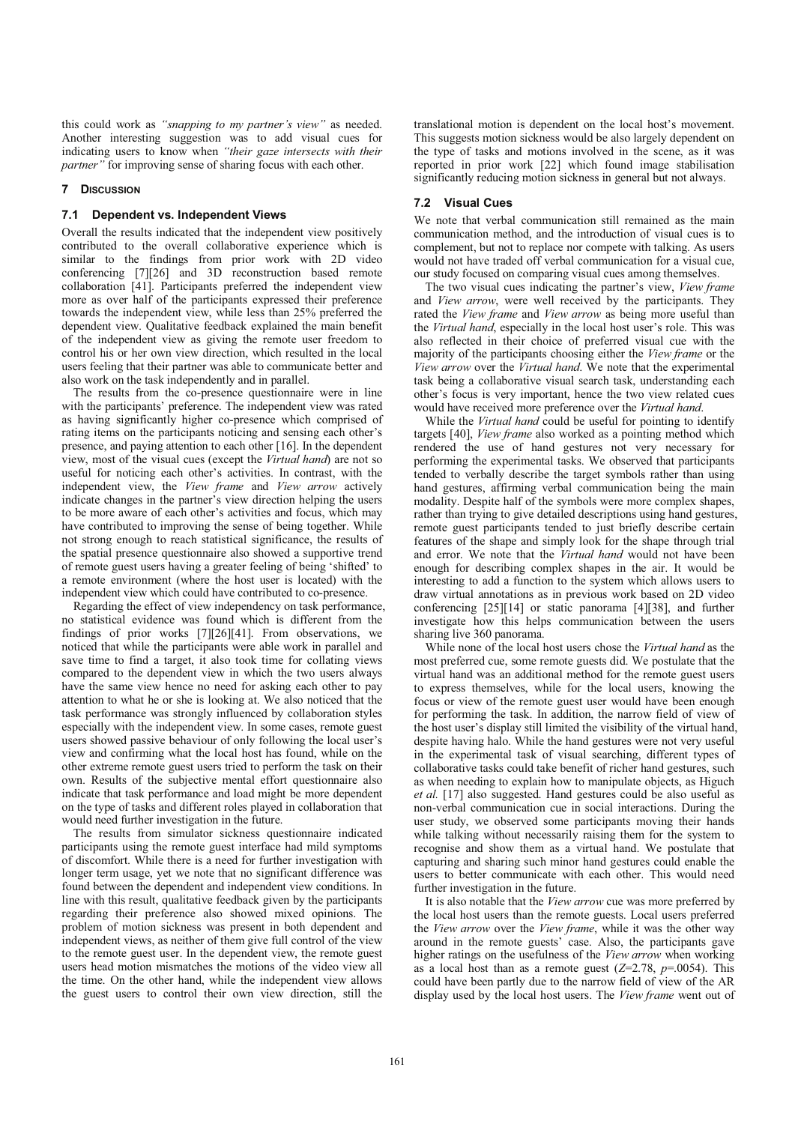this could work as *"snapping to my partner's view"* as needed. Another interesting suggestion was to add visual cues for indicating users to know when *"their gaze intersects with their partner"* for improving sense of sharing focus with each other.

### **7** DISCUSSION

### **7.1 Dependent vs. Independent Views**

Overall the results indicated that the independent view positively contributed to the overall collaborative experience which is similar to the findings from prior work with 2D video conferencing [7][26] and 3D reconstruction based remote collaboration [41]. Participants preferred the independent view more as over half of the participants expressed their preference towards the independent view, while less than 25% preferred the dependent view. Qualitative feedback explained the main benefit of the independent view as giving the remote user freedom to control his or her own view direction, which resulted in the local users feeling that their partner was able to communicate better and also work on the task independently and in parallel.

The results from the co-presence questionnaire were in line with the participants' preference. The independent view was rated as having significantly higher co-presence which comprised of rating items on the participants noticing and sensing each other's presence, and paying attention to each other [16]. In the dependent view, most of the visual cues (except the *Virtual hand*) are not so useful for noticing each other's activities. In contrast, with the independent view, the *View frame* and *View arrow* actively indicate changes in the partner's view direction helping the users to be more aware of each other's activities and focus, which may have contributed to improving the sense of being together. While not strong enough to reach statistical significance, the results of the spatial presence questionnaire also showed a supportive trend of remote guest users having a greater feeling of being 'shifted' to a remote environment (where the host user is located) with the independent view which could have contributed to co-presence.

Regarding the effect of view independency on task performance, no statistical evidence was found which is different from the findings of prior works [7][26][41]. From observations, we noticed that while the participants were able work in parallel and save time to find a target, it also took time for collating views compared to the dependent view in which the two users always have the same view hence no need for asking each other to pay attention to what he or she is looking at. We also noticed that the task performance was strongly influenced by collaboration styles especially with the independent view. In some cases, remote guest users showed passive behaviour of only following the local user's view and confirming what the local host has found, while on the other extreme remote guest users tried to perform the task on their own. Results of the subjective mental effort questionnaire also indicate that task performance and load might be more dependent on the type of tasks and different roles played in collaboration that would need further investigation in the future.

The results from simulator sickness questionnaire indicated participants using the remote guest interface had mild symptoms of discomfort. While there is a need for further investigation with longer term usage, yet we note that no significant difference was found between the dependent and independent view conditions. In line with this result, qualitative feedback given by the participants regarding their preference also showed mixed opinions. The problem of motion sickness was present in both dependent and independent views, as neither of them give full control of the view to the remote guest user. In the dependent view, the remote guest users head motion mismatches the motions of the video view all the time. On the other hand, while the independent view allows the guest users to control their own view direction, still the

translational motion is dependent on the local host's movement. This suggests motion sickness would be also largely dependent on the type of tasks and motions involved in the scene, as it was reported in prior work [22] which found image stabilisation significantly reducing motion sickness in general but not always.

# **7.2 Visual Cues**

We note that verbal communication still remained as the main communication method, and the introduction of visual cues is to complement, but not to replace nor compete with talking. As users would not have traded off verbal communication for a visual cue, our study focused on comparing visual cues among themselves.

The two visual cues indicating the partner's view, *View frame* and *View arrow*, were well received by the participants. They rated the *View frame* and *View arrow* as being more useful than the *Virtual hand*, especially in the local host user's role. This was also reflected in their choice of preferred visual cue with the majority of the participants choosing either the *View frame* or the *View arrow* over the *Virtual hand*. We note that the experimental task being a collaborative visual search task, understanding each other's focus is very important, hence the two view related cues would have received more preference over the *Virtual hand*.

While the *Virtual hand* could be useful for pointing to identify targets [40], *View frame* also worked as a pointing method which rendered the use of hand gestures not very necessary for performing the experimental tasks. We observed that participants tended to verbally describe the target symbols rather than using hand gestures, affirming verbal communication being the main modality. Despite half of the symbols were more complex shapes, rather than trying to give detailed descriptions using hand gestures, remote guest participants tended to just briefly describe certain features of the shape and simply look for the shape through trial and error. We note that the *Virtual hand* would not have been enough for describing complex shapes in the air. It would be interesting to add a function to the system which allows users to draw virtual annotations as in previous work based on 2D video conferencing [25][14] or static panorama [4][38], and further investigate how this helps communication between the users sharing live 360 panorama.

While none of the local host users chose the *Virtual hand* as the most preferred cue, some remote guests did. We postulate that the virtual hand was an additional method for the remote guest users to express themselves, while for the local users, knowing the focus or view of the remote guest user would have been enough for performing the task. In addition, the narrow field of view of the host user's display still limited the visibility of the virtual hand, despite having halo. While the hand gestures were not very useful in the experimental task of visual searching, different types of collaborative tasks could take benefit of richer hand gestures, such as when needing to explain how to manipulate objects, as Higuch *et al.* [17] also suggested. Hand gestures could be also useful as non-verbal communication cue in social interactions. During the user study, we observed some participants moving their hands while talking without necessarily raising them for the system to recognise and show them as a virtual hand. We postulate that capturing and sharing such minor hand gestures could enable the users to better communicate with each other. This would need further investigation in the future.

It is also notable that the *View arrow* cue was more preferred by the local host users than the remote guests. Local users preferred the *View arrow* over the *View frame*, while it was the other way around in the remote guests' case. Also, the participants gave higher ratings on the usefulness of the *View arrow* when working as a local host than as a remote guest  $(Z=2.78, p=.0054)$ . This could have been partly due to the narrow field of view of the AR display used by the local host users. The *View frame* went out of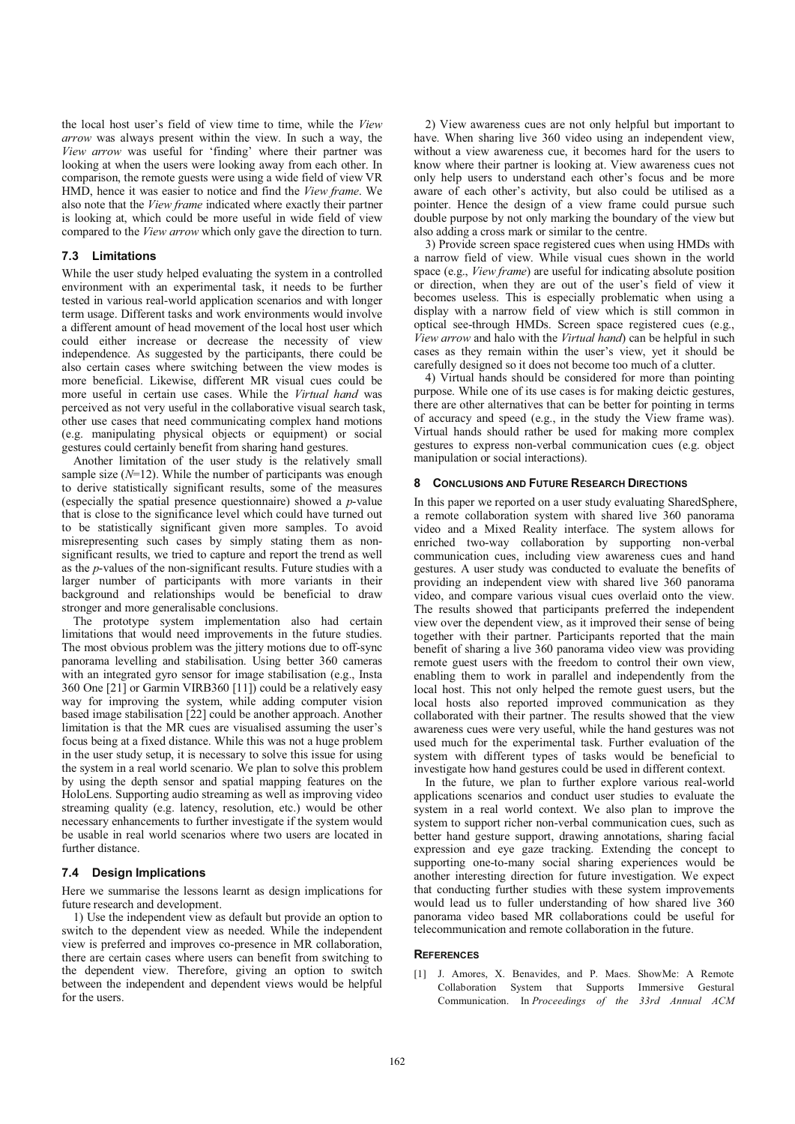the local host user's field of view time to time, while the *View arrow* was always present within the view. In such a way, the *View arrow* was useful for 'finding' where their partner was looking at when the users were looking away from each other. In comparison, the remote guests were using a wide field of view VR HMD, hence it was easier to notice and find the *View frame*. We also note that the *View frame* indicated where exactly their partner is looking at, which could be more useful in wide field of view compared to the *View arrow* which only gave the direction to turn.

# 7.3 Limitations

While the user study helped evaluating the system in a controlled environment with an experimental task, it needs to be further tested in various real-world application scenarios and with longer term usage. Different tasks and work environments would involve a different amount of head movement of the local host user which could either increase or decrease the necessity of view independence. As suggested by the participants, there could be also certain cases where switching between the view modes is more beneficial. Likewise, different MR visual cues could be more useful in certain use cases. While the *Virtual hand* was perceived as not very useful in the collaborative visual search task, other use cases that need communicating complex hand motions (e.g. manipulating physical objects or equipment) or social gestures could certainly benefit from sharing hand gestures.

Another limitation of the user study is the relatively small sample size  $(N=12)$ . While the number of participants was enough to derive statistically significant results, some of the measures (especially the spatial presence questionnaire) showed a *p*-value that is close to the significance level which could have turned out to be statistically significant given more samples. To avoid misrepresenting such cases by simply stating them as nonsignificant results, we tried to capture and report the trend as well as the *p*-values of the non-significant results. Future studies with a larger number of participants with more variants in their background and relationships would be beneficial to draw stronger and more generalisable conclusions.

The prototype system implementation also had certain limitations that would need improvements in the future studies. The most obvious problem was the jittery motions due to off-sync panorama levelling and stabilisation. Using better 360 cameras with an integrated gyro sensor for image stabilisation (e.g., Insta 360 One [21] or Garmin VIRB360 [11]) could be a relatively easy way for improving the system, while adding computer vision based image stabilisation [22] could be another approach. Another limitation is that the MR cues are visualised assuming the user's focus being at a fixed distance. While this was not a huge problem in the user study setup, it is necessary to solve this issue for using the system in a real world scenario. We plan to solve this problem by using the depth sensor and spatial mapping features on the HoloLens. Supporting audio streaming as well as improving video streaming quality (e.g. latency, resolution, etc.) would be other necessary enhancements to further investigate if the system would be usable in real world scenarios where two users are located in further distance.

### **7.4 Design Implications**

Here we summarise the lessons learnt as design implications for future research and development.

1) Use the independent view as default but provide an option to switch to the dependent view as needed. While the independent view is preferred and improves co-presence in MR collaboration, there are certain cases where users can benefit from switching to the dependent view. Therefore, giving an option to switch between the independent and dependent views would be helpful for the users.

2) View awareness cues are not only helpful but important to have. When sharing live 360 video using an independent view, without a view awareness cue, it becomes hard for the users to know where their partner is looking at. View awareness cues not only help users to understand each other's focus and be more aware of each other's activity, but also could be utilised as a pointer. Hence the design of a view frame could pursue such double purpose by not only marking the boundary of the view but also adding a cross mark or similar to the centre.

3) Provide screen space registered cues when using HMDs with a narrow field of view. While visual cues shown in the world space (e.g., *View frame*) are useful for indicating absolute position or direction, when they are out of the user's field of view it becomes useless. This is especially problematic when using a display with a narrow field of view which is still common in optical see-through HMDs. Screen space registered cues (e.g., *View arrow* and halo with the *Virtual hand*) can be helpful in such cases as they remain within the user's view, yet it should be carefully designed so it does not become too much of a clutter.

4) Virtual hands should be considered for more than pointing purpose. While one of its use cases is for making deictic gestures, there are other alternatives that can be better for pointing in terms of accuracy and speed (e.g., in the study the View frame was). Virtual hands should rather be used for making more complex gestures to express non-verbal communication cues (e.g. object manipulation or social interactions).

# **8 CONCLUSIONS AND FUTURE RESEARCH DIRECTIONS**

In this paper we reported on a user study evaluating SharedSphere, a remote collaboration system with shared live 360 panorama video and a Mixed Reality interface. The system allows for enriched two-way collaboration by supporting non-verbal communication cues, including view awareness cues and hand gestures. A user study was conducted to evaluate the benefits of providing an independent view with shared live 360 panorama video, and compare various visual cues overlaid onto the view. The results showed that participants preferred the independent view over the dependent view, as it improved their sense of being together with their partner. Participants reported that the main benefit of sharing a live 360 panorama video view was providing remote guest users with the freedom to control their own view, enabling them to work in parallel and independently from the local host. This not only helped the remote guest users, but the local hosts also reported improved communication as they collaborated with their partner. The results showed that the view awareness cues were very useful, while the hand gestures was not used much for the experimental task. Further evaluation of the system with different types of tasks would be beneficial to investigate how hand gestures could be used in different context.

In the future, we plan to further explore various real-world applications scenarios and conduct user studies to evaluate the system in a real world context. We also plan to improve the system to support richer non-verbal communication cues, such as better hand gesture support, drawing annotations, sharing facial expression and eye gaze tracking. Extending the concept to supporting one-to-many social sharing experiences would be another interesting direction for future investigation. We expect that conducting further studies with these system improvements would lead us to fuller understanding of how shared live 360 panorama video based MR collaborations could be useful for telecommunication and remote collaboration in the future.

### **REFERENCES**

[1] J. Amores, X. Benavides, and P. Maes. ShowMe: A Remote Collaboration System that Supports Immersive Gestural Communication. In *Proceedings of the 33rd Annual ACM*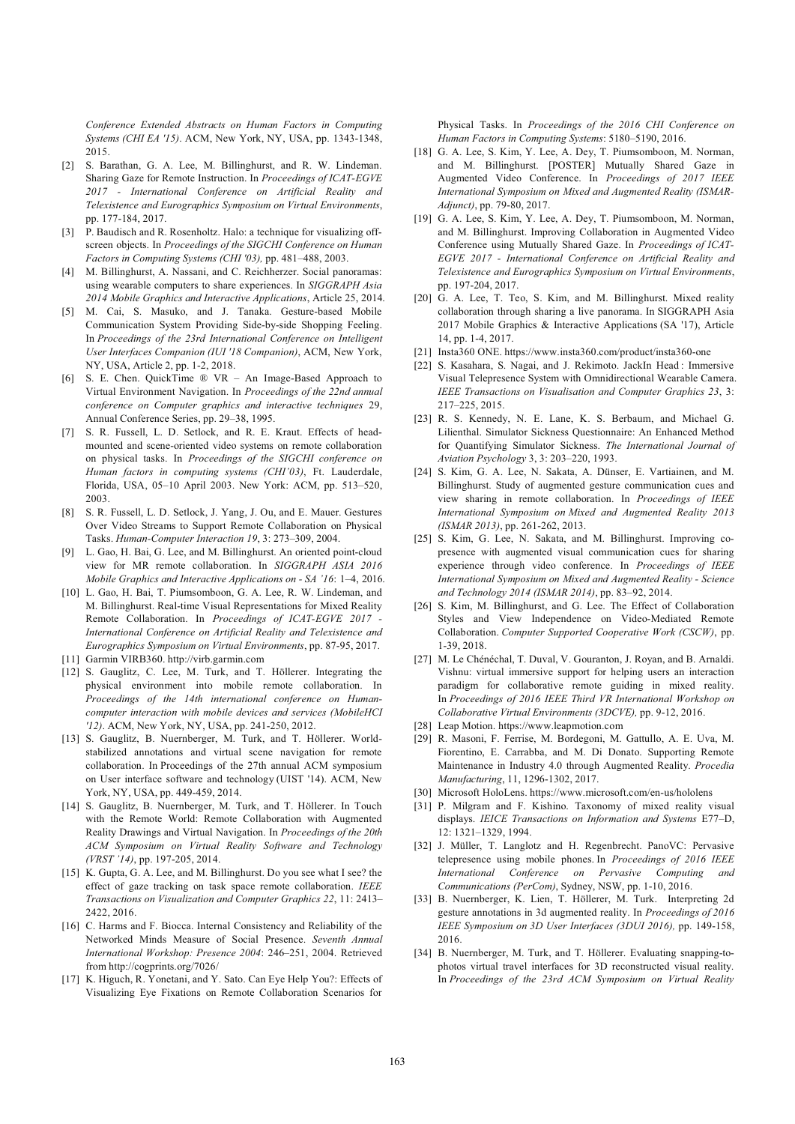*Conference Extended Abstracts on Human Factors in Computing Systems (CHI EA '15)*. ACM, New York, NY, USA, pp. 1343-1348, 2015.

- [2] S. Barathan, G. A. Lee, M. Billinghurst, and R. W. Lindeman. Sharing Gaze for Remote Instruction. In *Proceedings of ICAT-EGVE 2017 - International Conference on Artificial Reality and Telexistence and Eurographics Symposium on Virtual Environments*, pp. 177-184, 2017.
- [3] P. Baudisch and R. Rosenholtz. Halo: a technique for visualizing offscreen objects. In *Proceedings of the SIGCHI Conference on Human Factors in Computing Systems (CHI '03),* pp. 481–488, 2003.
- [4] M. Billinghurst, A. Nassani, and C. Reichherzer. Social panoramas: using wearable computers to share experiences. In *SIGGRAPH Asia 2014 Mobile Graphics and Interactive Applications*, Article 25, 2014.
- [5] M. Cai, S. Masuko, and J. Tanaka. Gesture-based Mobile Communication System Providing Side-by-side Shopping Feeling. In *Proceedings of the 23rd International Conference on Intelligent User Interfaces Companion (IUI '18 Companion)*, ACM, New York, NY, USA, Article 2, pp. 1-2, 2018.
- [6] S. E. Chen. QuickTime ® VR An Image-Based Approach to Virtual Environment Navigation. In *Proceedings of the 22nd annual conference on Computer graphics and interactive techniques* 29, Annual Conference Series, pp. 29–38, 1995.
- [7] S. R. Fussell, L. D. Setlock, and R. E. Kraut. Effects of headmounted and scene-oriented video systems on remote collaboration on physical tasks. In *Proceedings of the SIGCHI conference on Human factors in computing systems (CHI'03)*, Ft. Lauderdale, Florida, USA, 05–10 April 2003. New York: ACM, pp. 513–520, 2003.
- [8] S. R. Fussell, L. D. Setlock, J. Yang, J. Ou, and E. Mauer. Gestures Over Video Streams to Support Remote Collaboration on Physical Tasks. *Human-Computer Interaction 19*, 3: 273–309, 2004.
- [9] L. Gao, H. Bai, G. Lee, and M. Billinghurst. An oriented point-cloud view for MR remote collaboration. In *SIGGRAPH ASIA 2016 Mobile Graphics and Interactive Applications on - SA '16*: 1–4, 2016.
- [10] L. Gao, H. Bai, T. Piumsomboon, G. A. Lee, R. W. Lindeman, and M. Billinghurst. Real-time Visual Representations for Mixed Reality Remote Collaboration. In *Proceedings of ICAT-EGVE 2017 - International Conference on Artificial Reality and Telexistence and Eurographics Symposium on Virtual Environments*, pp. 87-95, 2017.
- [11] Garmin VIRB360. http://virb.garmin.com
- [12] S. Gauglitz, C. Lee, M. Turk, and T. Höllerer. Integrating the physical environment into mobile remote collaboration. In *Proceedings of the 14th international conference on Humancomputer interaction with mobile devices and services (MobileHCI '12)*. ACM, New York, NY, USA, pp. 241-250, 2012.
- [13] S. Gauglitz, B. Nuernberger, M. Turk, and T. Höllerer. Worldstabilized annotations and virtual scene navigation for remote collaboration. In Proceedings of the 27th annual ACM symposium on User interface software and technology (UIST '14). ACM, New York, NY, USA, pp. 449-459, 2014.
- [14] S. Gauglitz, B. Nuernberger, M. Turk, and T. Höllerer. In Touch with the Remote World: Remote Collaboration with Augmented Reality Drawings and Virtual Navigation. In *Proceedings of the 20th ACM Symposium on Virtual Reality Software and Technology (VRST '14)*, pp. 197-205, 2014.
- [15] K. Gupta, G. A. Lee, and M. Billinghurst. Do you see what I see? the effect of gaze tracking on task space remote collaboration. *IEEE Transactions on Visualization and Computer Graphics 22*, 11: 2413– 2422, 2016.
- [16] C. Harms and F. Biocca. Internal Consistency and Reliability of the Networked Minds Measure of Social Presence. *Seventh Annual International Workshop: Presence 2004*: 246–251, 2004. Retrieved from http://cogprints.org/7026/
- [17] K. Higuch, R. Yonetani, and Y. Sato. Can Eye Help You?: Effects of Visualizing Eye Fixations on Remote Collaboration Scenarios for

Physical Tasks. In *Proceedings of the 2016 CHI Conference on Human Factors in Computing Systems*: 5180–5190, 2016.

- [18] G. A. Lee, S. Kim, Y. Lee, A. Dey, T. Piumsomboon, M. Norman, and M. Billinghurst. [POSTER] Mutually Shared Gaze in Augmented Video Conference. In *Proceedings of 2017 IEEE International Symposium on Mixed and Augmented Reality (ISMAR-Adjunct)*, pp. 79-80, 2017.
- [19] G. A. Lee, S. Kim, Y. Lee, A. Dey, T. Piumsomboon, M. Norman, and M. Billinghurst. Improving Collaboration in Augmented Video Conference using Mutually Shared Gaze. In *Proceedings of ICAT-EGVE 2017 - International Conference on Artificial Reality and Telexistence and Eurographics Symposium on Virtual Environments*, pp. 197-204, 2017.
- [20] G. A. Lee, T. Teo, S. Kim, and M. Billinghurst. Mixed reality collaboration through sharing a live panorama. In SIGGRAPH Asia 2017 Mobile Graphics & Interactive Applications (SA '17), Article 14, pp. 1-4, 2017.
- [21] Insta360 ONE. https://www.insta360.com/product/insta360-one
- [22] S. Kasahara, S. Nagai, and J. Rekimoto. JackIn Head : Immersive Visual Telepresence System with Omnidirectional Wearable Camera. *IEEE Transactions on Visualisation and Computer Graphics 23*, 3: 217–225, 2015.
- [23] R. S. Kennedy, N. E. Lane, K. S. Berbaum, and Michael G. Lilienthal. Simulator Sickness Questionnaire: An Enhanced Method for Quantifying Simulator Sickness. *The International Journal of Aviation Psychology* 3, 3: 203–220, 1993.
- [24] S. Kim, G. A. Lee, N. Sakata, A. Dünser, E. Vartiainen, and M. Billinghurst. Study of augmented gesture communication cues and view sharing in remote collaboration. In *Proceedings of IEEE International Symposium on Mixed and Augmented Reality 2013 (ISMAR 2013)*, pp. 261-262, 2013.
- [25] S. Kim, G. Lee, N. Sakata, and M. Billinghurst. Improving copresence with augmented visual communication cues for sharing experience through video conference. In *Proceedings of IEEE International Symposium on Mixed and Augmented Reality - Science and Technology 2014 (ISMAR 2014)*, pp. 83–92, 2014.
- [26] S. Kim, M. Billinghurst, and G. Lee. The Effect of Collaboration Styles and View Independence on Video-Mediated Remote Collaboration. *Computer Supported Cooperative Work (CSCW)*, pp. 1-39, 2018.
- [27] M. Le Chénéchal, T. Duval, V. Gouranton, J. Royan, and B. Arnaldi. Vishnu: virtual immersive support for helping users an interaction paradigm for collaborative remote guiding in mixed reality. In *Proceedings of 2016 IEEE Third VR International Workshop on Collaborative Virtual Environments (3DCVE),* pp. 9-12, 2016.
- [28] Leap Motion. https://www.leapmotion.com
- [29] R. Masoni, F. Ferrise, M. Bordegoni, M. Gattullo, A. E. Uva, M. Fiorentino, E. Carrabba, and M. Di Donato. Supporting Remote Maintenance in Industry 4.0 through Augmented Reality. *Procedia Manufacturing*, 11, 1296-1302, 2017.
- [30] Microsoft HoloLens. https://www.microsoft.com/en-us/hololens
- [31] P. Milgram and F. Kishino. Taxonomy of mixed reality visual displays. *IEICE Transactions on Information and Systems* E77–D, 12: 1321–1329, 1994.
- [32] J. Müller, T. Langlotz and H. Regenbrecht. PanoVC: Pervasive telepresence using mobile phones. In *Proceedings of 2016 IEEE International Conference on Pervasive Computing and Communications (PerCom)*, Sydney, NSW, pp. 1-10, 2016.
- [33] B. Nuernberger, K. Lien, T. Höllerer, M. Turk. Interpreting 2d gesture annotations in 3d augmented reality. In *Proceedings of 2016 IEEE Symposium on 3D User Interfaces (3DUI 2016),* pp. 149-158, 2016.
- [34] B. Nuernberger, M. Turk, and T. Höllerer. Evaluating snapping-tophotos virtual travel interfaces for 3D reconstructed visual reality. In *Proceedings of the 23rd ACM Symposium on Virtual Reality*